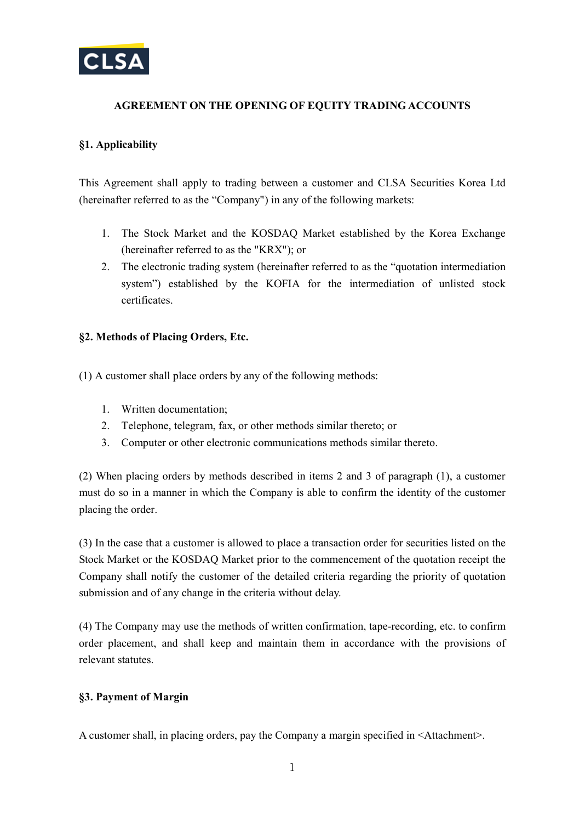

# **AGREEMENT ON THE OPENING OF EQUITY TRADING ACCOUNTS**

# **§1. Applicability**

This Agreement shall apply to trading between a customer and CLSA Securities Korea Ltd (hereinafter referred to as the "Company") in any of the following markets:

- 1. The Stock Market and the KOSDAQ Market established by the Korea Exchange (hereinafter referred to as the "KRX"); or
- 2. The electronic trading system (hereinafter referred to as the "quotation intermediation system") established by the KOFIA for the intermediation of unlisted stock certificates.

## **§2. Methods of Placing Orders, Etc.**

(1) A customer shall place orders by any of the following methods:

- 1. Written documentation;
- 2. Telephone, telegram, fax, or other methods similar thereto; or
- 3. Computer or other electronic communications methods similar thereto.

(2) When placing orders by methods described in items 2 and 3 of paragraph (1), a customer must do so in a manner in which the Company is able to confirm the identity of the customer placing the order.

(3) In the case that a customer is allowed to place a transaction order for securities listed on the Stock Market or the KOSDAQ Market prior to the commencement of the quotation receipt the Company shall notify the customer of the detailed criteria regarding the priority of quotation submission and of any change in the criteria without delay.

(4) The Company may use the methods of written confirmation, tape-recording, etc. to confirm order placement, and shall keep and maintain them in accordance with the provisions of relevant statutes.

## **§3. Payment of Margin**

A customer shall, in placing orders, pay the Company a margin specified in <Attachment>.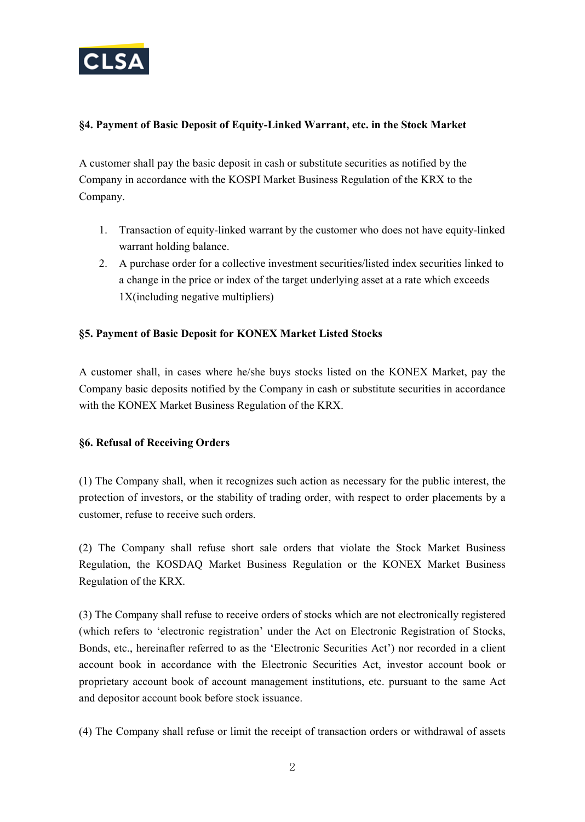

# **§4. Payment of Basic Deposit of Equity-Linked Warrant, etc. in the Stock Market**

A customer shall pay the basic deposit in cash or substitute securities as notified by the Company in accordance with the KOSPI Market Business Regulation of the KRX to the Company.

- 1. Transaction of equity-linked warrant by the customer who does not have equity-linked warrant holding balance.
- 2. A purchase order for a collective investment securities/listed index securities linked to a change in the price or index of the target underlying asset at a rate which exceeds 1X(including negative multipliers)

## **§5. Payment of Basic Deposit for KONEX Market Listed Stocks**

A customer shall, in cases where he/she buys stocks listed on the KONEX Market, pay the Company basic deposits notified by the Company in cash or substitute securities in accordance with the KONEX Market Business Regulation of the KRX.

## **§6. Refusal of Receiving Orders**

(1) The Company shall, when it recognizes such action as necessary for the public interest, the protection of investors, or the stability of trading order, with respect to order placements by a customer, refuse to receive such orders.

(2) The Company shall refuse short sale orders that violate the Stock Market Business Regulation, the KOSDAQ Market Business Regulation or the KONEX Market Business Regulation of the KRX.

(3) The Company shall refuse to receive orders of stocks which are not electronically registered (which refers to 'electronic registration' under the Act on Electronic Registration of Stocks, Bonds, etc., hereinafter referred to as the 'Electronic Securities Act') nor recorded in a client account book in accordance with the Electronic Securities Act, investor account book or proprietary account book of account management institutions, etc. pursuant to the same Act and depositor account book before stock issuance.

(4) The Company shall refuse or limit the receipt of transaction orders or withdrawal of assets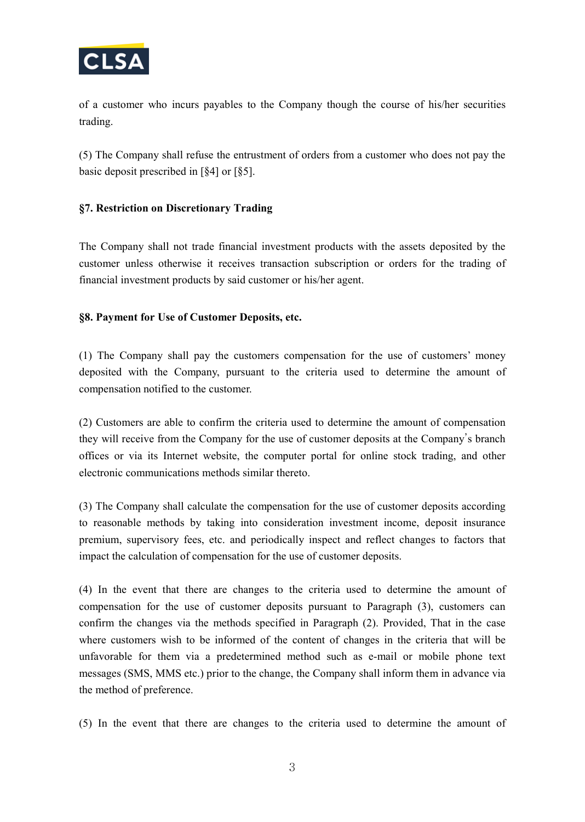

of a customer who incurs payables to the Company though the course of his/her securities trading.

(5) The Company shall refuse the entrustment of orders from a customer who does not pay the basic deposit prescribed in [§4] or [§5].

# **§7. Restriction on Discretionary Trading**

The Company shall not trade financial investment products with the assets deposited by the customer unless otherwise it receives transaction subscription or orders for the trading of financial investment products by said customer or his/her agent.

# **§8. Payment for Use of Customer Deposits, etc.**

(1) The Company shall pay the customers compensation for the use of customers' money deposited with the Company, pursuant to the criteria used to determine the amount of compensation notified to the customer.

(2) Customers are able to confirm the criteria used to determine the amount of compensation they will receive from the Company for the use of customer deposits at the Company's branch offices or via its Internet website, the computer portal for online stock trading, and other electronic communications methods similar thereto.

(3) The Company shall calculate the compensation for the use of customer deposits according to reasonable methods by taking into consideration investment income, deposit insurance premium, supervisory fees, etc. and periodically inspect and reflect changes to factors that impact the calculation of compensation for the use of customer deposits.

(4) In the event that there are changes to the criteria used to determine the amount of compensation for the use of customer deposits pursuant to Paragraph (3), customers can confirm the changes via the methods specified in Paragraph (2). Provided, That in the case where customers wish to be informed of the content of changes in the criteria that will be unfavorable for them via a predetermined method such as e-mail or mobile phone text messages (SMS, MMS etc.) prior to the change, the Company shall inform them in advance via the method of preference.

(5) In the event that there are changes to the criteria used to determine the amount of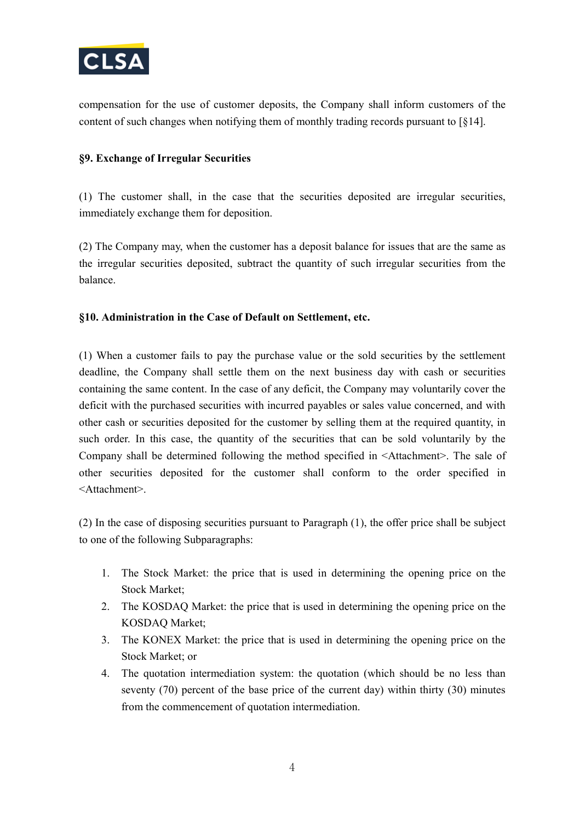

compensation for the use of customer deposits, the Company shall inform customers of the content of such changes when notifying them of monthly trading records pursuant to [§14].

## **§9. Exchange of Irregular Securities**

(1) The customer shall, in the case that the securities deposited are irregular securities, immediately exchange them for deposition.

(2) The Company may, when the customer has a deposit balance for issues that are the same as the irregular securities deposited, subtract the quantity of such irregular securities from the balance.

# **§10. Administration in the Case of Default on Settlement, etc.**

(1) When a customer fails to pay the purchase value or the sold securities by the settlement deadline, the Company shall settle them on the next business day with cash or securities containing the same content. In the case of any deficit, the Company may voluntarily cover the deficit with the purchased securities with incurred payables or sales value concerned, and with other cash or securities deposited for the customer by selling them at the required quantity, in such order. In this case, the quantity of the securities that can be sold voluntarily by the Company shall be determined following the method specified in <Attachment>. The sale of other securities deposited for the customer shall conform to the order specified in <Attachment>.

(2) In the case of disposing securities pursuant to Paragraph (1), the offer price shall be subject to one of the following Subparagraphs:

- 1. The Stock Market: the price that is used in determining the opening price on the Stock Market;
- 2. The KOSDAQ Market: the price that is used in determining the opening price on the KOSDAQ Market;
- 3. The KONEX Market: the price that is used in determining the opening price on the Stock Market; or
- 4. The quotation intermediation system: the quotation (which should be no less than seventy (70) percent of the base price of the current day) within thirty (30) minutes from the commencement of quotation intermediation.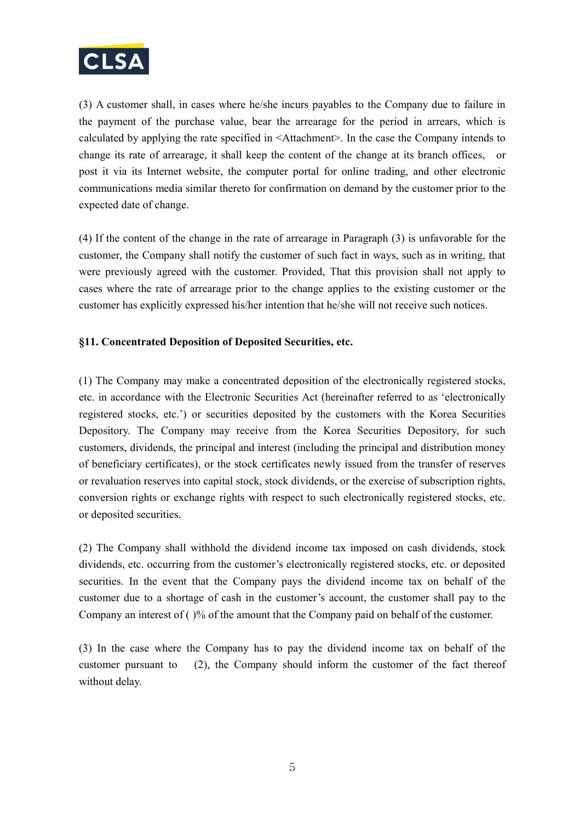

(3) A customer shall, in cases where he/she incurs payables to the Company due to failure in the payment of the purchase value, bear the arrearage for the period in arrears, which is calculated by applying the rate specified in <Attachment>. In the case the Company intends to change its rate of arrearage, it shall keep the content of the change at its branch offices, or post it via its Internet website, the computer portal for online trading, and other electronic communications media similar thereto for confirmation on demand by the customer prior to the expected date of change.

(4) If the content of the change in the rate of arrearage in Paragraph (3) is unfavorable for the customer, the Company shall notify the customer of such fact in ways, such as in writing, that were previously agreed with the customer. Provided, That this provision shall not apply to cases where the rate of arrearage prior to the change applies to the existing customer or the customer has explicitly expressed his/her intention that he/she will not receive such notices.

## **§11. Concentrated Deposition of Deposited Securities, etc.**

(1) The Company may make a concentrated deposition of the electronically registered stocks, etc. in accordance with the Electronic Securities Act (hereinafter referred to as 'electronically registered stocks, etc.') or securities deposited by the customers with the Korea Securities Depository. The Company may receive from the Korea Securities Depository, for such customers, dividends, the principal and interest (including the principal and distribution money of beneficiary certificates), or the stock certificates newly issued from the transfer of reserves or revaluation reserves into capital stock, stock dividends, or the exercise of subscription rights, conversion rights or exchange rights with respect to such electronically registered stocks, etc. or deposited securities.

(2) The Company shall withhold the dividend income tax imposed on cash dividends, stock dividends, etc. occurring from the customer's electronically registered stocks, etc. or deposited securities. In the event that the Company pays the dividend income tax on behalf of the customer due to a shortage of cash in the customer's account, the customer shall pay to the Company an interest of  $( )$ % of the amount that the Company paid on behalf of the customer.

(3) In the case where the Company has to pay the dividend income tax on behalf of the customer pursuant to (2), the Company should inform the customer of the fact thereof without delay.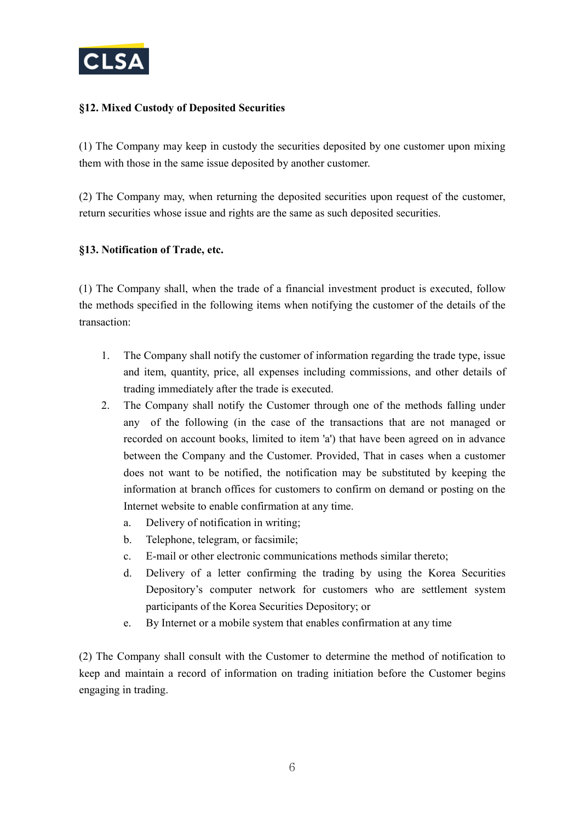

# **§12. Mixed Custody of Deposited Securities**

(1) The Company may keep in custody the securities deposited by one customer upon mixing them with those in the same issue deposited by another customer.

(2) The Company may, when returning the deposited securities upon request of the customer, return securities whose issue and rights are the same as such deposited securities.

## **§13. Notification of Trade, etc.**

(1) The Company shall, when the trade of a financial investment product is executed, follow the methods specified in the following items when notifying the customer of the details of the transaction:

- 1. The Company shall notify the customer of information regarding the trade type, issue and item, quantity, price, all expenses including commissions, and other details of trading immediately after the trade is executed.
- 2. The Company shall notify the Customer through one of the methods falling under any of the following (in the case of the transactions that are not managed or recorded on account books, limited to item 'a') that have been agreed on in advance between the Company and the Customer. Provided, That in cases when a customer does not want to be notified, the notification may be substituted by keeping the information at branch offices for customers to confirm on demand or posting on the Internet website to enable confirmation at any time.
	- a. Delivery of notification in writing;
	- b. Telephone, telegram, or facsimile;
	- c. E-mail or other electronic communications methods similar thereto;
	- d. Delivery of a letter confirming the trading by using the Korea Securities Depository's computer network for customers who are settlement system participants of the Korea Securities Depository; or
	- e. By Internet or a mobile system that enables confirmation at any time

(2) The Company shall consult with the Customer to determine the method of notification to keep and maintain a record of information on trading initiation before the Customer begins engaging in trading.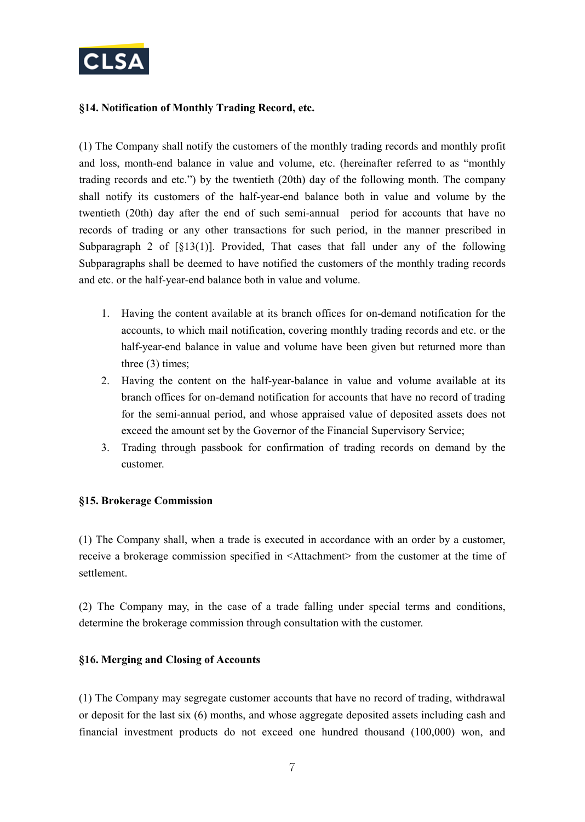

## **§14. Notification of Monthly Trading Record, etc.**

(1) The Company shall notify the customers of the monthly trading records and monthly profit and loss, month-end balance in value and volume, etc. (hereinafter referred to as "monthly trading records and etc.") by the twentieth (20th) day of the following month. The company shall notify its customers of the half-year-end balance both in value and volume by the twentieth (20th) day after the end of such semi-annual period for accounts that have no records of trading or any other transactions for such period, in the manner prescribed in Subparagraph 2 of  $[\S13(1)]$ . Provided, That cases that fall under any of the following Subparagraphs shall be deemed to have notified the customers of the monthly trading records and etc. or the half-year-end balance both in value and volume.

- 1. Having the content available at its branch offices for on-demand notification for the accounts, to which mail notification, covering monthly trading records and etc. or the half-year-end balance in value and volume have been given but returned more than three (3) times;
- 2. Having the content on the half-year-balance in value and volume available at its branch offices for on-demand notification for accounts that have no record of trading for the semi-annual period, and whose appraised value of deposited assets does not exceed the amount set by the Governor of the Financial Supervisory Service;
- 3. Trading through passbook for confirmation of trading records on demand by the customer.

## **§15. Brokerage Commission**

(1) The Company shall, when a trade is executed in accordance with an order by a customer, receive a brokerage commission specified in <Attachment> from the customer at the time of settlement.

(2) The Company may, in the case of a trade falling under special terms and conditions, determine the brokerage commission through consultation with the customer.

## **§16. Merging and Closing of Accounts**

(1) The Company may segregate customer accounts that have no record of trading, withdrawal or deposit for the last six (6) months, and whose aggregate deposited assets including cash and financial investment products do not exceed one hundred thousand (100,000) won, and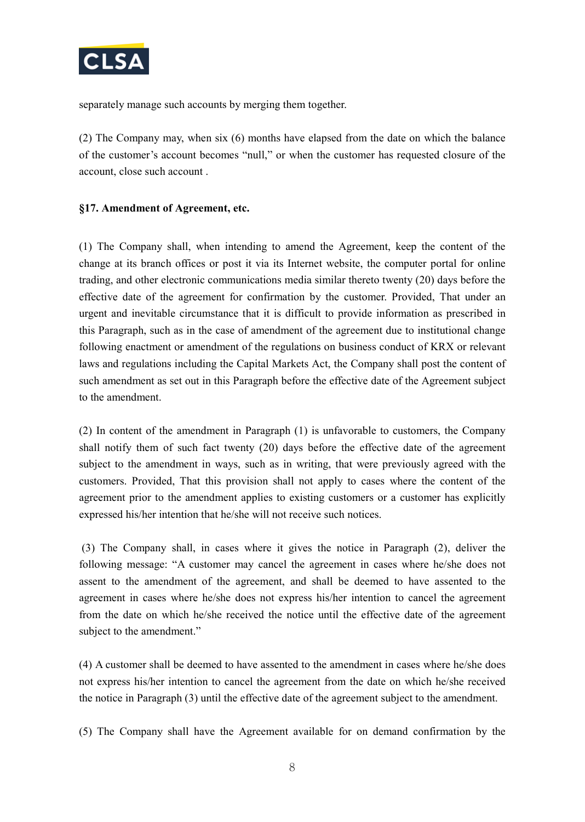

separately manage such accounts by merging them together.

(2) The Company may, when six (6) months have elapsed from the date on which the balance of the customer's account becomes "null," or when the customer has requested closure of the account, close such account .

#### **§17. Amendment of Agreement, etc.**

(1) The Company shall, when intending to amend the Agreement, keep the content of the change at its branch offices or post it via its Internet website, the computer portal for online trading, and other electronic communications media similar thereto twenty (20) days before the effective date of the agreement for confirmation by the customer. Provided, That under an urgent and inevitable circumstance that it is difficult to provide information as prescribed in this Paragraph, such as in the case of amendment of the agreement due to institutional change following enactment or amendment of the regulations on business conduct of KRX or relevant laws and regulations including the Capital Markets Act, the Company shall post the content of such amendment as set out in this Paragraph before the effective date of the Agreement subject to the amendment.

(2) In content of the amendment in Paragraph (1) is unfavorable to customers, the Company shall notify them of such fact twenty (20) days before the effective date of the agreement subject to the amendment in ways, such as in writing, that were previously agreed with the customers. Provided, That this provision shall not apply to cases where the content of the agreement prior to the amendment applies to existing customers or a customer has explicitly expressed his/her intention that he/she will not receive such notices.

(3) The Company shall, in cases where it gives the notice in Paragraph (2), deliver the following message: "A customer may cancel the agreement in cases where he/she does not assent to the amendment of the agreement, and shall be deemed to have assented to the agreement in cases where he/she does not express his/her intention to cancel the agreement from the date on which he/she received the notice until the effective date of the agreement subject to the amendment."

(4) A customer shall be deemed to have assented to the amendment in cases where he/she does not express his/her intention to cancel the agreement from the date on which he/she received the notice in Paragraph (3) until the effective date of the agreement subject to the amendment.

(5) The Company shall have the Agreement available for on demand confirmation by the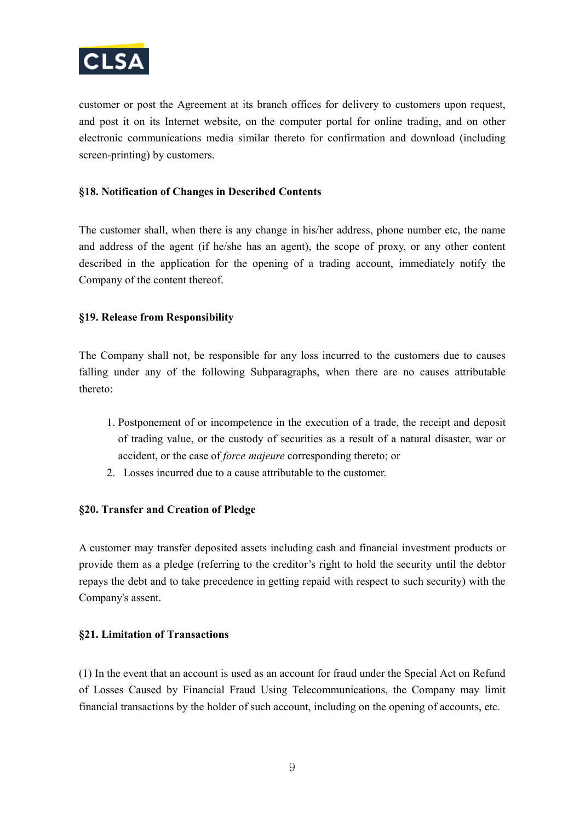

customer or post the Agreement at its branch offices for delivery to customers upon request, and post it on its Internet website, on the computer portal for online trading, and on other electronic communications media similar thereto for confirmation and download (including screen-printing) by customers.

#### **§18. Notification of Changes in Described Contents**

The customer shall, when there is any change in his/her address, phone number etc, the name and address of the agent (if he/she has an agent), the scope of proxy, or any other content described in the application for the opening of a trading account, immediately notify the Company of the content thereof.

#### **§19. Release from Responsibility**

The Company shall not, be responsible for any loss incurred to the customers due to causes falling under any of the following Subparagraphs, when there are no causes attributable thereto:

- 1. Postponement of or incompetence in the execution of a trade, the receipt and deposit of trading value, or the custody of securities as a result of a natural disaster, war or accident, or the case of *force majeure* corresponding thereto; or
- 2. Losses incurred due to a cause attributable to the customer.

## **§20. Transfer and Creation of Pledge**

A customer may transfer deposited assets including cash and financial investment products or provide them as a pledge (referring to the creditor's right to hold the security until the debtor repays the debt and to take precedence in getting repaid with respect to such security) with the Company's assent.

#### **§21. Limitation of Transactions**

(1) In the event that an account is used as an account for fraud under the Special Act on Refund of Losses Caused by Financial Fraud Using Telecommunications, the Company may limit financial transactions by the holder of such account, including on the opening of accounts, etc.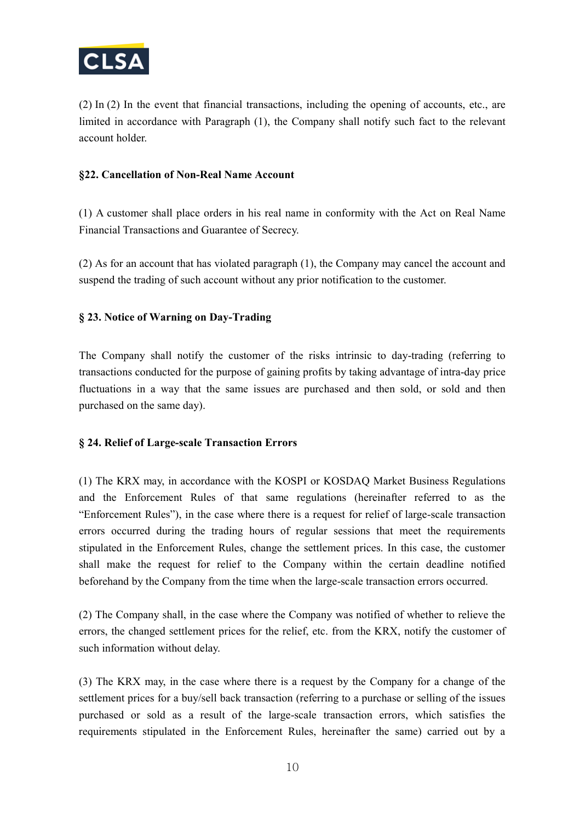

(2) In (2) In the event that financial transactions, including the opening of accounts, etc., are limited in accordance with Paragraph (1), the Company shall notify such fact to the relevant account holder.

#### **§22. Cancellation of Non-Real Name Account**

(1) A customer shall place orders in his real name in conformity with the Act on Real Name Financial Transactions and Guarantee of Secrecy.

(2) As for an account that has violated paragraph (1), the Company may cancel the account and suspend the trading of such account without any prior notification to the customer.

## **§ 23. Notice of Warning on Day-Trading**

The Company shall notify the customer of the risks intrinsic to day-trading (referring to transactions conducted for the purpose of gaining profits by taking advantage of intra-day price fluctuations in a way that the same issues are purchased and then sold, or sold and then purchased on the same day).

## **§ 24. Relief of Large-scale Transaction Errors**

(1) The KRX may, in accordance with the KOSPI or KOSDAQ Market Business Regulations and the Enforcement Rules of that same regulations (hereinafter referred to as the "Enforcement Rules"), in the case where there is a request for relief of large-scale transaction errors occurred during the trading hours of regular sessions that meet the requirements stipulated in the Enforcement Rules, change the settlement prices. In this case, the customer shall make the request for relief to the Company within the certain deadline notified beforehand by the Company from the time when the large-scale transaction errors occurred.

(2) The Company shall, in the case where the Company was notified of whether to relieve the errors, the changed settlement prices for the relief, etc. from the KRX, notify the customer of such information without delay.

(3) The KRX may, in the case where there is a request by the Company for a change of the settlement prices for a buy/sell back transaction (referring to a purchase or selling of the issues purchased or sold as a result of the large-scale transaction errors, which satisfies the requirements stipulated in the Enforcement Rules, hereinafter the same) carried out by a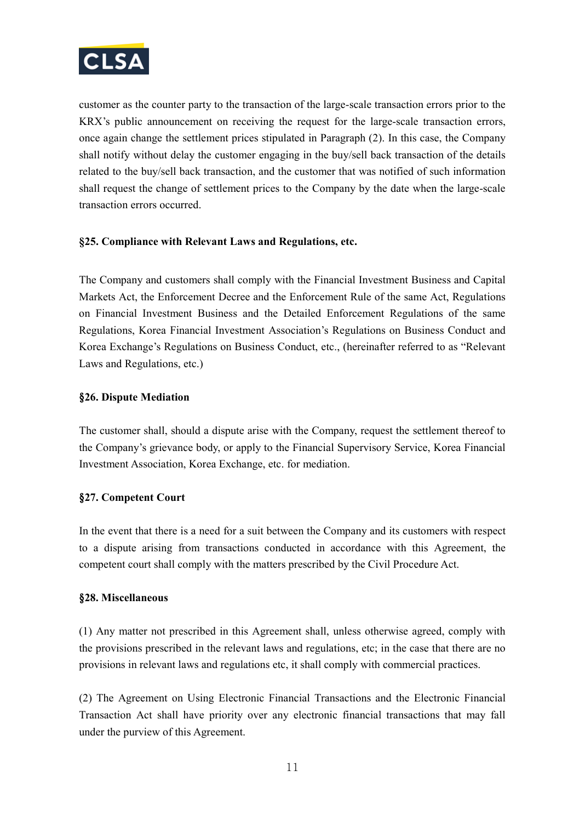

customer as the counter party to the transaction of the large-scale transaction errors prior to the KRX's public announcement on receiving the request for the large-scale transaction errors, once again change the settlement prices stipulated in Paragraph (2). In this case, the Company shall notify without delay the customer engaging in the buy/sell back transaction of the details related to the buy/sell back transaction, and the customer that was notified of such information shall request the change of settlement prices to the Company by the date when the large-scale transaction errors occurred.

## **§25. Compliance with Relevant Laws and Regulations, etc.**

The Company and customers shall comply with the Financial Investment Business and Capital Markets Act, the Enforcement Decree and the Enforcement Rule of the same Act, Regulations on Financial Investment Business and the Detailed Enforcement Regulations of the same Regulations, Korea Financial Investment Association's Regulations on Business Conduct and Korea Exchange's Regulations on Business Conduct, etc., (hereinafter referred to as "Relevant Laws and Regulations, etc.)

## §**26. Dispute Mediation**

The customer shall, should a dispute arise with the Company, request the settlement thereof to the Company's grievance body, or apply to the Financial Supervisory Service, Korea Financial Investment Association, Korea Exchange, etc. for mediation.

## §**27. Competent Court**

In the event that there is a need for a suit between the Company and its customers with respect to a dispute arising from transactions conducted in accordance with this Agreement, the competent court shall comply with the matters prescribed by the Civil Procedure Act.

#### §**28. Miscellaneous**

(1) Any matter not prescribed in this Agreement shall, unless otherwise agreed, comply with the provisions prescribed in the relevant laws and regulations, etc; in the case that there are no provisions in relevant laws and regulations etc, it shall comply with commercial practices.

(2) The Agreement on Using Electronic Financial Transactions and the Electronic Financial Transaction Act shall have priority over any electronic financial transactions that may fall under the purview of this Agreement.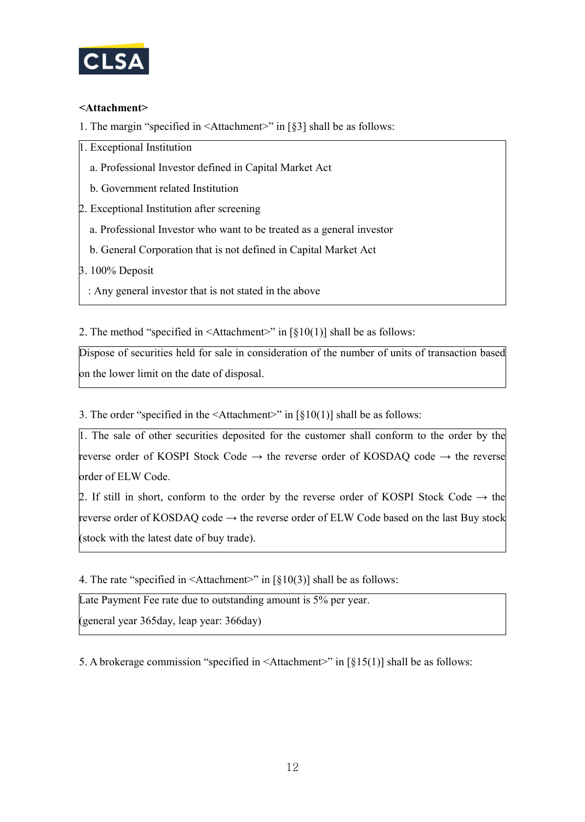

## **<Attachment>**

1. The margin "specified in <Attachment>" in [§3] shall be as follows:

1. Exceptional Institution

- a. Professional Investor defined in Capital Market Act
- b. Government related Institution
- 2. Exceptional Institution after screening
	- a. Professional Investor who want to be treated as a general investor
	- b. General Corporation that is not defined in Capital Market Act

3. 100% Deposit

: Any general investor that is not stated in the above

2. The method "specified in  $\leq$ Attachment>" in [§10(1)] shall be as follows:

Dispose of securities held for sale in consideration of the number of units of transaction based on the lower limit on the date of disposal.

3. The order "specified in the  $\leq$ Attachment $\geq$ " in [§10(1)] shall be as follows:

1. The sale of other securities deposited for the customer shall conform to the order by the reverse order of KOSPI Stock Code  $\rightarrow$  the reverse order of KOSDAQ code  $\rightarrow$  the reverse order of ELW Code.

2. If still in short, conform to the order by the reverse order of KOSPI Stock Code  $\rightarrow$  the reverse order of KOSDAQ code  $\rightarrow$  the reverse order of ELW Code based on the last Buy stock (stock with the latest date of buy trade).

4. The rate "specified in  $\triangle$ Attachment>" in [§10(3)] shall be as follows:

Late Payment Fee rate due to outstanding amount is 5% per year.

(general year 365day, leap year: 366day)

5. A brokerage commission "specified in  $\leq$ Attachment>" in [§15(1)] shall be as follows: